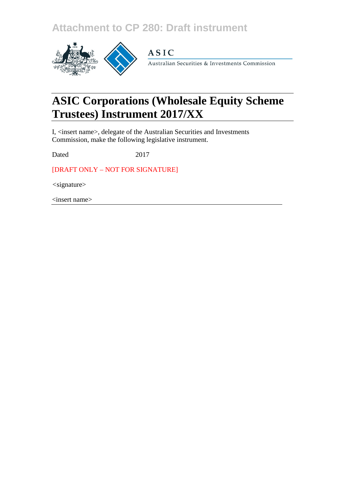**Attachment to CP 280: Draft instrument**



# **ASIC**

Australian Securities & Investments Commission

# **ASIC Corporations (Wholesale Equity Scheme Trustees) Instrument 2017/XX**

I, <insert name>, delegate of the Australian Securities and Investments Commission, make the following legislative instrument.

Dated 2017

[DRAFT ONLY – NOT FOR SIGNATURE]

*<*signature>

<insert name>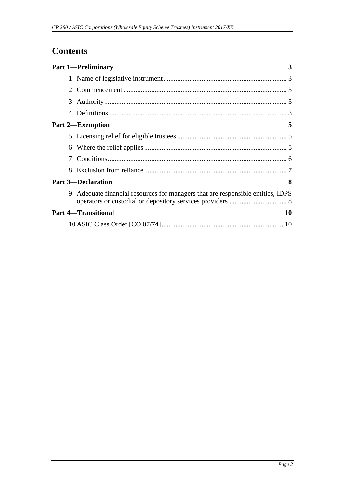## **Contents**

|                       | <b>Part 1—Preliminary</b>                                                     | 3  |
|-----------------------|-------------------------------------------------------------------------------|----|
|                       |                                                                               |    |
| $\mathcal{D}_{\cdot}$ |                                                                               |    |
| 3                     |                                                                               |    |
| 4                     |                                                                               |    |
|                       | <b>Part 2—Exemption</b>                                                       | 5  |
|                       |                                                                               |    |
| 6                     |                                                                               |    |
| 7                     |                                                                               |    |
| 8                     |                                                                               |    |
|                       | <b>Part 3-Declaration</b>                                                     | 8  |
| 9                     | Adequate financial resources for managers that are responsible entities, IDPS |    |
|                       | <b>Part 4-Transitional</b>                                                    | 10 |
|                       |                                                                               |    |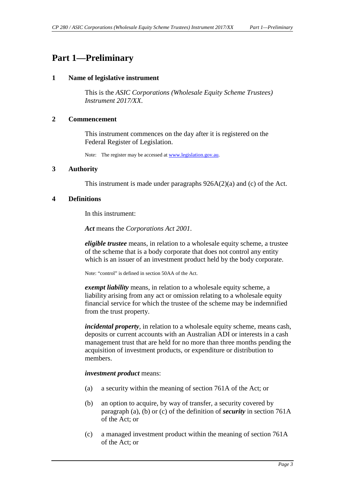### <span id="page-2-1"></span><span id="page-2-0"></span>**Part 1—Preliminary**

#### **1 Name of legislative instrument**

This is the *ASIC Corporations (Wholesale Equity Scheme Trustees) Instrument 2017/XX*.

### <span id="page-2-2"></span>**2 Commencement**

This instrument commences on the day after it is registered on the Federal Register of Legislation.

Note: The register may be accessed a[t www.legislation.gov.au.](http://www.legislation.gov.au/)

### <span id="page-2-3"></span>**3 Authority**

This instrument is made under paragraphs 926A(2)(a) and (c) of the Act.

### <span id="page-2-4"></span>**4 Definitions**

In this instrument:

*Act* means the *Corporations Act 2001*.

*eligible trustee* means, in relation to a wholesale equity scheme, a trustee of the scheme that is a body corporate that does not control any entity which is an issuer of an investment product held by the body corporate.

Note: "control" is defined in section 50AA of the Act.

*exempt liability* means, in relation to a wholesale equity scheme, a liability arising from any act or omission relating to a wholesale equity financial service for which the trustee of the scheme may be indemnified from the trust property.

*incidental property*, in relation to a wholesale equity scheme, means cash, deposits or current accounts with an Australian ADI or interests in a cash management trust that are held for no more than three months pending the acquisition of investment products, or expenditure or distribution to members.

#### *investment product* means:

- (a) a security within the meaning of section 761A of the Act; or
- (b) an option to acquire, by way of transfer, a security covered by paragraph (a), (b) or (c) of the definition of *security* in section 761A of the Act; or
- (c) a managed investment product within the meaning of section 761A of the Act; or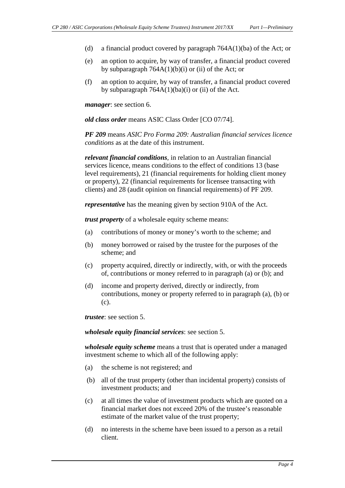- (d) a financial product covered by paragraph  $764A(1)(ba)$  of the Act; or
- (e) an option to acquire, by way of transfer, a financial product covered by subparagraph  $764A(1)(b)(i)$  or (ii) of the Act; or
- (f) an option to acquire, by way of transfer, a financial product covered by subparagraph  $764A(1)(ba)(i)$  or (ii) of the Act.

*manager*: see section 6.

*old class order* means ASIC Class Order [CO 07/74].

*PF 209* means *ASIC Pro Forma 209: Australian financial services licence conditions* as at the date of this instrument.

*relevant financial conditions*, in relation to an Australian financial services licence, means conditions to the effect of conditions 13 (base level requirements), 21 (financial requirements for holding client money or property), 22 (financial requirements for licensee transacting with clients) and 28 (audit opinion on financial requirements) of PF 209.

*representative* has the meaning given by section 910A of the Act.

*trust property* of a wholesale equity scheme means:

- (a) contributions of money or money's worth to the scheme; and
- (b) money borrowed or raised by the trustee for the purposes of the scheme; and
- (c) property acquired, directly or indirectly, with, or with the proceeds of, contributions or money referred to in paragraph (a) or (b); and
- (d) income and property derived, directly or indirectly, from contributions, money or property referred to in paragraph (a), (b) or (c).

*trustee*: see section 5.

*wholesale equity financial services*: see section 5.

*wholesale equity scheme* means a trust that is operated under a managed investment scheme to which all of the following apply:

- (a) the scheme is not registered; and
- (b) all of the trust property (other than incidental property) consists of investment products; and
- (c) at all times the value of investment products which are quoted on a financial market does not exceed 20% of the trustee's reasonable estimate of the market value of the trust property;
- (d) no interests in the scheme have been issued to a person as a retail client.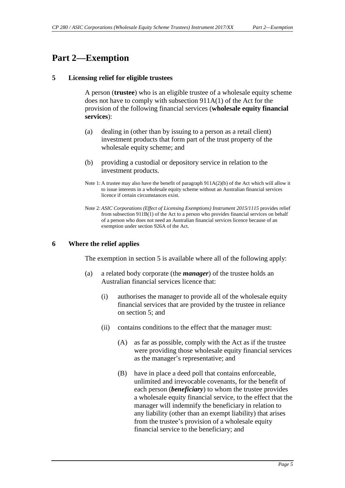### <span id="page-4-1"></span><span id="page-4-0"></span>**Part 2—Exemption**

### **5 Licensing relief for eligible trustees**

A person (**trustee**) who is an eligible trustee of a wholesale equity scheme does not have to comply with subsection 911A(1) of the Act for the provision of the following financial services (**wholesale equity financial services**):

- (a) dealing in (other than by issuing to a person as a retail client) investment products that form part of the trust property of the wholesale equity scheme; and
- (b) providing a custodial or depository service in relation to the investment products.
- Note 1: A trustee may also have the benefit of paragraph 911A(2)(b) of the Act which will allow it to issue interests in a wholesale equity scheme without an Australian financial services licence if certain circumstances exist.
- Note 2: *ASIC Corporations (Effect of Licensing Exemptions) Instrument 2015/1115* provides relief from subsection 911B(1) of the Act to a person who provides financial services on behalf of a person who does not need an Australian financial services licence because of an exemption under section 926A of the Act.

### <span id="page-4-2"></span>**6 Where the relief applies**

The exemption in section 5 is available where all of the following apply:

- (a) a related body corporate (the *manager*) of the trustee holds an Australian financial services licence that:
	- (i) authorises the manager to provide all of the wholesale equity financial services that are provided by the trustee in reliance on section 5; and
	- (ii) contains conditions to the effect that the manager must:
		- (A) as far as possible, comply with the Act as if the trustee were providing those wholesale equity financial services as the manager's representative; and
		- (B) have in place a deed poll that contains enforceable, unlimited and irrevocable covenants, for the benefit of each person (*beneficiary*) to whom the trustee provides a wholesale equity financial service, to the effect that the manager will indemnify the beneficiary in relation to any liability (other than an exempt liability) that arises from the trustee's provision of a wholesale equity financial service to the beneficiary; and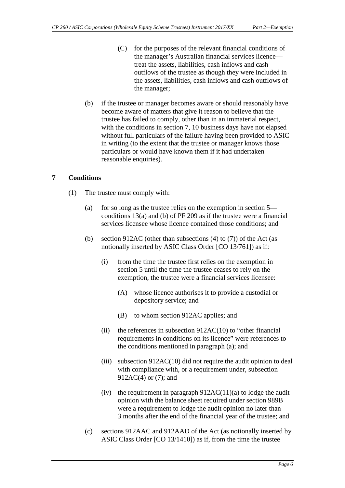- (C) for the purposes of the relevant financial conditions of the manager's Australian financial services licence treat the assets, liabilities, cash inflows and cash outflows of the trustee as though they were included in the assets, liabilities, cash inflows and cash outflows of the manager;
- (b) if the trustee or manager becomes aware or should reasonably have become aware of matters that give it reason to believe that the trustee has failed to comply, other than in an immaterial respect, with the conditions in section 7, 10 business days have not elapsed without full particulars of the failure having been provided to ASIC in writing (to the extent that the trustee or manager knows those particulars or would have known them if it had undertaken reasonable enquiries).

### <span id="page-5-0"></span>**7 Conditions**

- (1) The trustee must comply with:
	- (a) for so long as the trustee relies on the exemption in section 5 conditions 13(a) and (b) of PF 209 as if the trustee were a financial services licensee whose licence contained those conditions; and
	- (b) section 912AC (other than subsections  $(4)$  to  $(7)$ ) of the Act (as notionally inserted by ASIC Class Order [CO 13/761]) as if:
		- (i) from the time the trustee first relies on the exemption in section 5 until the time the trustee ceases to rely on the exemption, the trustee were a financial services licensee:
			- (A) whose licence authorises it to provide a custodial or depository service; and
			- (B) to whom section 912AC applies; and
		- (ii) the references in subsection  $912AC(10)$  to "other financial requirements in conditions on its licence" were references to the conditions mentioned in paragraph (a); and
		- (iii) subsection 912AC(10) did not require the audit opinion to deal with compliance with, or a requirement under, subsection 912AC(4) or (7); and
		- (iv) the requirement in paragraph  $912AC(11)(a)$  to lodge the audit opinion with the balance sheet required under section 989B were a requirement to lodge the audit opinion no later than 3 months after the end of the financial year of the trustee; and
	- (c) sections 912AAC and 912AAD of the Act (as notionally inserted by ASIC Class Order [CO 13/1410]) as if, from the time the trustee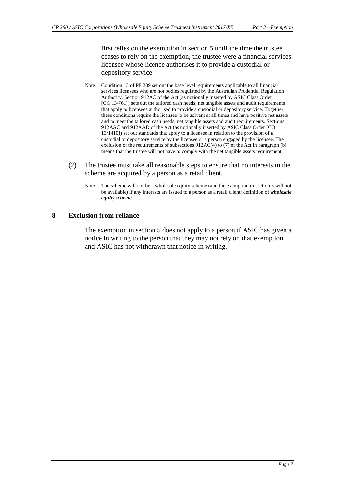first relies on the exemption in section 5 until the time the trustee ceases to rely on the exemption, the trustee were a financial services licensee whose licence authorises it to provide a custodial or depository service.

- Note: Condition 13 of PF 209 set out the base level requirements applicable to all financial services licensees who are not bodies regulated by the Australian Prudential Regulation Authority. Section 912AC of the Act (as notionally inserted by ASIC Class Order [CO 13/761]) sets out the tailored cash needs, net tangible assets and audit requirements that apply to licensees authorised to provide a custodial or depository service. Together, these conditions require the licensee to be solvent at all times and have positive net assets and to meet the tailored cash needs, net tangible assets and audit requirements. Sections 912AAC and 912AAD of the Act (as notionally inserted by ASIC Class Order [CO 13/1410]) set out standards that apply to a licensee in relation to the provision of a custodial or depository service by the licensee or a person engaged by the licensee. The exclusion of the requirements of subsections  $912AC(4)$  to (7) of the Act in paragraph (b) means that the trustee will not have to comply with the net tangible assets requirement.
- (2) The trustee must take all reasonable steps to ensure that no interests in the scheme are acquired by a person as a retail client.
	- Note: The scheme will not be a wholesale equity scheme (and the exemption in section 5 will not be available) if any interests are issued to a person as a retail client: definition of *wholesale equity scheme*.

### <span id="page-6-0"></span>**8 Exclusion from reliance**

The exemption in section 5 does not apply to a person if ASIC has given a notice in writing to the person that they may not rely on that exemption and ASIC has not withdrawn that notice in writing.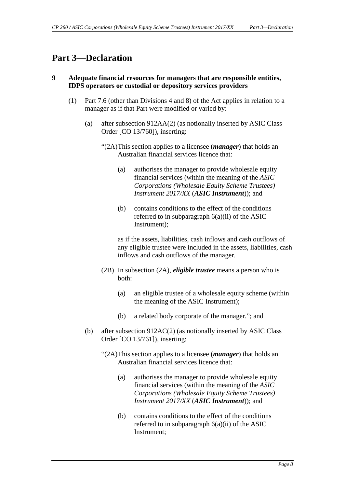### <span id="page-7-1"></span><span id="page-7-0"></span>**Part 3—Declaration**

### **9 Adequate financial resources for managers that are responsible entities, IDPS operators or custodial or depository services providers**

- (1) Part 7.6 (other than Divisions 4 and 8) of the Act applies in relation to a manager as if that Part were modified or varied by:
	- (a) after subsection 912AA(2) (as notionally inserted by ASIC Class Order [CO 13/760]), inserting:
		- "(2A)This section applies to a licensee (*manager*) that holds an Australian financial services licence that:
			- (a) authorises the manager to provide wholesale equity financial services (within the meaning of the *ASIC Corporations (Wholesale Equity Scheme Trustees) Instrument 2017/XX* (*ASIC Instrument*)); and
			- (b) contains conditions to the effect of the conditions referred to in subparagraph  $6(a)(ii)$  of the ASIC Instrument);

as if the assets, liabilities, cash inflows and cash outflows of any eligible trustee were included in the assets, liabilities, cash inflows and cash outflows of the manager.

- (2B) In subsection (2A), *eligible trustee* means a person who is both:
	- (a) an eligible trustee of a wholesale equity scheme (within the meaning of the ASIC Instrument);
	- (b) a related body corporate of the manager."; and
- (b) after subsection 912AC(2) (as notionally inserted by ASIC Class Order [CO 13/761]), inserting:
	- "(2A) This section applies to a licensee (*manager*) that holds an Australian financial services licence that:
		- (a) authorises the manager to provide wholesale equity financial services (within the meaning of the *ASIC Corporations (Wholesale Equity Scheme Trustees) Instrument 2017/XX* (*ASIC Instrument*)); and
		- (b) contains conditions to the effect of the conditions referred to in subparagraph 6(a)(ii) of the ASIC Instrument;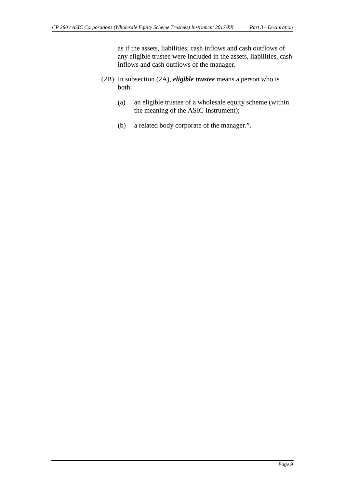as if the assets, liabilities, cash inflows and cash outflows of any eligible trustee were included in the assets, liabilities, cash inflows and cash outflows of the manager.

- (2B) In subsection (2A), *eligible trustee* means a person who is both:
	- (a) an eligible trustee of a wholesale equity scheme (within the meaning of the ASIC Instrument);
	- (b) a related body corporate of the manager.".